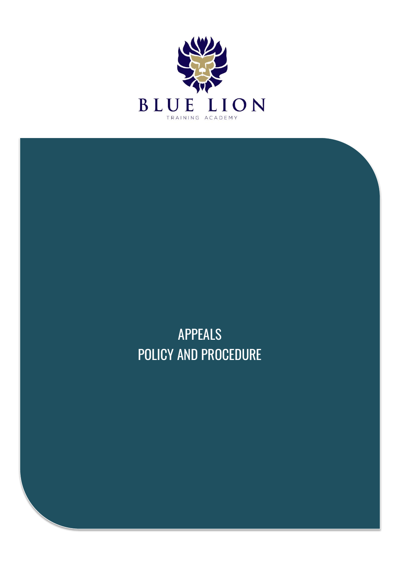

APPEALS POLICY AND PROCEDURE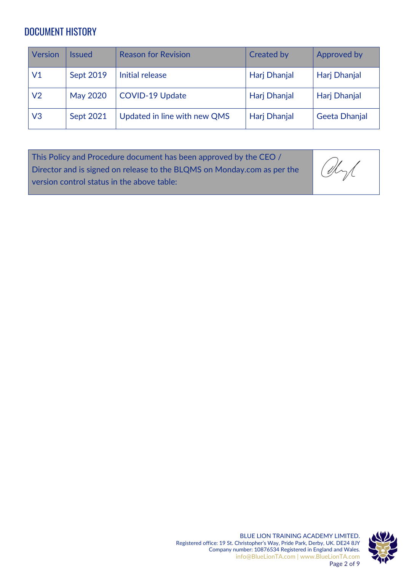### DOCUMENT HISTORY

| <b>Version</b> | lssued           | <b>Reason for Revision</b>   | <b>Created by</b>   | Approved by         |
|----------------|------------------|------------------------------|---------------------|---------------------|
| V1             | Sept 2019        | Initial release              | <b>Harj Dhanjal</b> | Harj Dhanjal        |
| V <sub>2</sub> | <b>May 2020</b>  | <b>COVID-19 Update</b>       | <b>Harj Dhanjal</b> | <b>Harj Dhanjal</b> |
| V <sub>3</sub> | <b>Sept 2021</b> | Updated in line with new QMS | Harj Dhanjal        | Geeta Dhanjal       |

| This Policy and Procedure document has been approved by the CEO /                                                                            |  |
|----------------------------------------------------------------------------------------------------------------------------------------------|--|
| This Policy and Procedure document has been approved by the CEO /<br>Director and is signed on release to the BLQMS on Monday.com as per the |  |
| version control status in the above table:                                                                                                   |  |

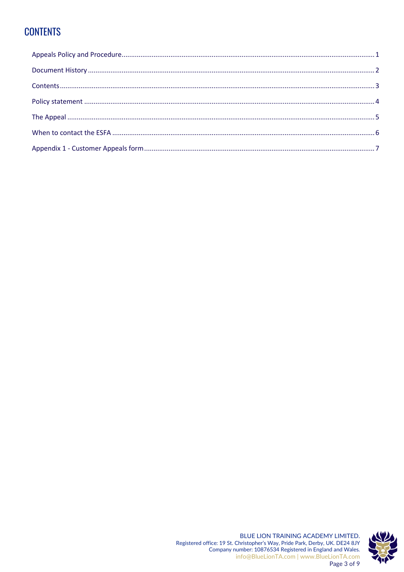## **CONTENTS**

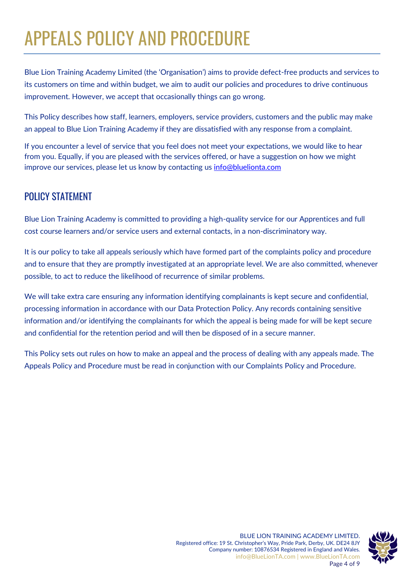# APPEALS POLICY AND PROCEDURE

Blue Lion Training Academy Limited (the 'Organisation') aims to provide defect-free products and services to its customers on time and within budget, we aim to audit our policies and procedures to drive continuous improvement. However, we accept that occasionally things can go wrong.

This Policy describes how staff, learners, employers, service providers, customers and the public may make an appeal to Blue Lion Training Academy if they are dissatisfied with any response from a complaint.

If you encounter a level of service that you feel does not meet your expectations, we would like to hear from you. Equally, if you are pleased with the services offered, or have a suggestion on how we might improve our services, please let us know by contacting us [info@bluelionta.com](mailto:info@bluelionta.com)

### POLICY STATEMENT

Blue Lion Training Academy is committed to providing a high-quality service for our Apprentices and full cost course learners and/or service users and external contacts, in a non-discriminatory way.

It is our policy to take all appeals seriously which have formed part of the complaints policy and procedure and to ensure that they are promptly investigated at an appropriate level. We are also committed, whenever possible, to act to reduce the likelihood of recurrence of similar problems.

We will take extra care ensuring any information identifying complainants is kept secure and confidential, processing information in accordance with our Data Protection Policy. Any records containing sensitive information and/or identifying the complainants for which the appeal is being made for will be kept secure and confidential for the retention period and will then be disposed of in a secure manner.

This Policy sets out rules on how to make an appeal and the process of dealing with any appeals made. The Appeals Policy and Procedure must be read in conjunction with our Complaints Policy and Procedure.

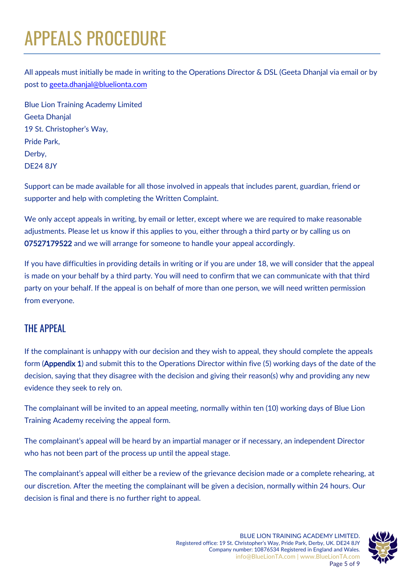# APPEALS PROCEDURE

All appeals must initially be made in writing to the Operations Director & DSL (Geeta Dhanjal via email or by post to [geeta.dhanjal@bluelionta.com](mailto:geeta.dhanjal@bluelionta.com)

Blue Lion Training Academy Limited Geeta Dhanjal 19 St. Christopher's Way, Pride Park, Derby, DE24 8JY

Support can be made available for all those involved in appeals that includes parent, guardian, friend or supporter and help with completing the Written Complaint.

We only accept appeals in writing, by email or letter, except where we are required to make reasonable adjustments. Please let us know if this applies to you, either through a third party or by calling us on 07527179522 and we will arrange for someone to handle your appeal accordingly.

If you have difficulties in providing details in writing or if you are under 18, we will consider that the appeal is made on your behalf by a third party. You will need to confirm that we can communicate with that third party on your behalf. If the appeal is on behalf of more than one person, we will need written permission from everyone.

#### THE APPEAL

If the complainant is unhappy with our decision and they wish to appeal, they should complete the appeals form (Appendix 1) and submit this to the Operations Director within five (5) working days of the date of the decision, saying that they disagree with the decision and giving their reason(s) why and providing any new evidence they seek to rely on.

The complainant will be invited to an appeal meeting, normally within ten (10) working days of Blue Lion Training Academy receiving the appeal form.

The complainant's appeal will be heard by an impartial manager or if necessary, an independent Director who has not been part of the process up until the appeal stage.

The complainant's appeal will either be a review of the grievance decision made or a complete rehearing, at our discretion. After the meeting the complainant will be given a decision, normally within 24 hours. Our decision is final and there is no further right to appeal.

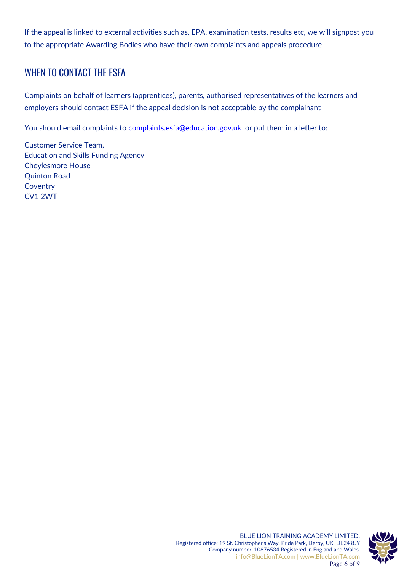If the appeal is linked to external activities such as, EPA, examination tests, results etc, we will signpost you to the appropriate Awarding Bodies who have their own complaints and appeals procedure.

#### WHEN TO CONTACT THE ESFA

Complaints on behalf of learners (apprentices), parents, authorised representatives of the learners and employers should contact ESFA if the appeal decision is not acceptable by the complainant

You should email complaints to [complaints.esfa@education.gov.uk](mailto:complaints.esfa@education.gov.uk) or put them in a letter to:

Customer Service Team, Education and Skills Funding Agency Cheylesmore House Quinton Road **Coventry** CV1 2WT

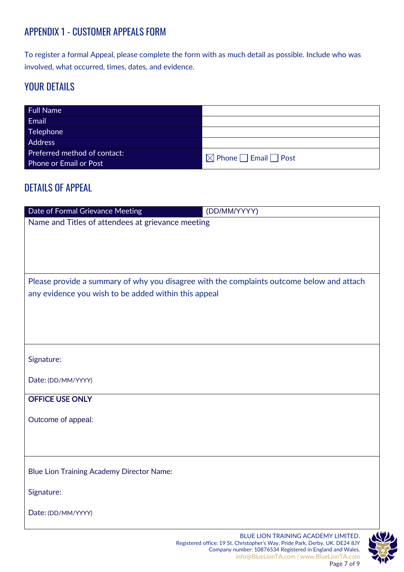### APPENDIX 1 - CUSTOMER APPEALS FORM

To register a formal Appeal, please complete the form with as much detail as possible. Include who was involved, what occurred, times, dates, and evidence.

#### YOUR DETAILS

| <b>Full Name</b>             |                                       |
|------------------------------|---------------------------------------|
| Email                        |                                       |
| Telephone                    |                                       |
| Address                      |                                       |
| Preferred method of contact: | $\Box$ Phone $\Box$ Email $\Box$ Post |
| Phone or Email or Post       |                                       |

#### DETAILS OF APPEAL

| Date of Formal Grievance Meeting                                                                                                                  | (DD/MM/YYYY)                              |  |  |  |
|---------------------------------------------------------------------------------------------------------------------------------------------------|-------------------------------------------|--|--|--|
| Name and Titles of attendees at grievance meeting                                                                                                 |                                           |  |  |  |
|                                                                                                                                                   |                                           |  |  |  |
|                                                                                                                                                   |                                           |  |  |  |
|                                                                                                                                                   |                                           |  |  |  |
|                                                                                                                                                   |                                           |  |  |  |
| Please provide a summary of why you disagree with the complaints outcome below and attach<br>any evidence you wish to be added within this appeal |                                           |  |  |  |
|                                                                                                                                                   |                                           |  |  |  |
|                                                                                                                                                   |                                           |  |  |  |
|                                                                                                                                                   |                                           |  |  |  |
|                                                                                                                                                   |                                           |  |  |  |
| Signature:                                                                                                                                        |                                           |  |  |  |
|                                                                                                                                                   |                                           |  |  |  |
| Date: (DD/MM/YYYY)                                                                                                                                |                                           |  |  |  |
| <b>OFFICE USE ONLY</b>                                                                                                                            |                                           |  |  |  |
|                                                                                                                                                   |                                           |  |  |  |
| Outcome of appeal:                                                                                                                                |                                           |  |  |  |
|                                                                                                                                                   |                                           |  |  |  |
|                                                                                                                                                   |                                           |  |  |  |
| <b>Blue Lion Training Academy Director Name:</b>                                                                                                  |                                           |  |  |  |
|                                                                                                                                                   |                                           |  |  |  |
| Signature:                                                                                                                                        |                                           |  |  |  |
| Date: (DD/MM/YYYY)                                                                                                                                |                                           |  |  |  |
|                                                                                                                                                   |                                           |  |  |  |
|                                                                                                                                                   | <b>RULE LION TRAINING ACADEMY LIMITED</b> |  |  |  |

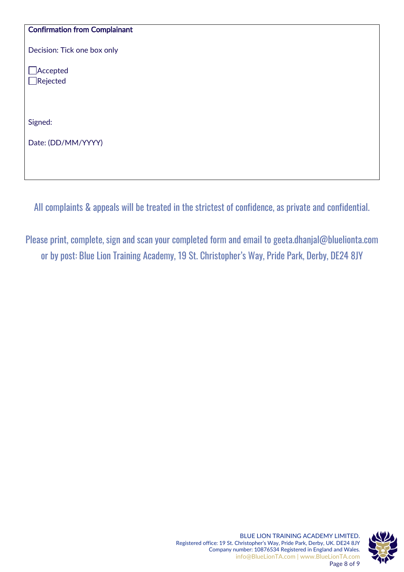#### Confirmation from Complainant

Decision: Tick one box only

Accepted Rejected

Signed:

Date: (DD/MM/YYYY)

All complaints & appeals will be treated in the strictest of confidence, as private and confidential.

Please print, complete, sign and scan your completed form and email to [geeta.dhanjal@bluelionta.com](mailto:geeta.dhanjal@bluelionta.com) or by post: Blue Lion Training Academy, 19 St. Christopher's Way, Pride Park, Derby, DE24 8JY